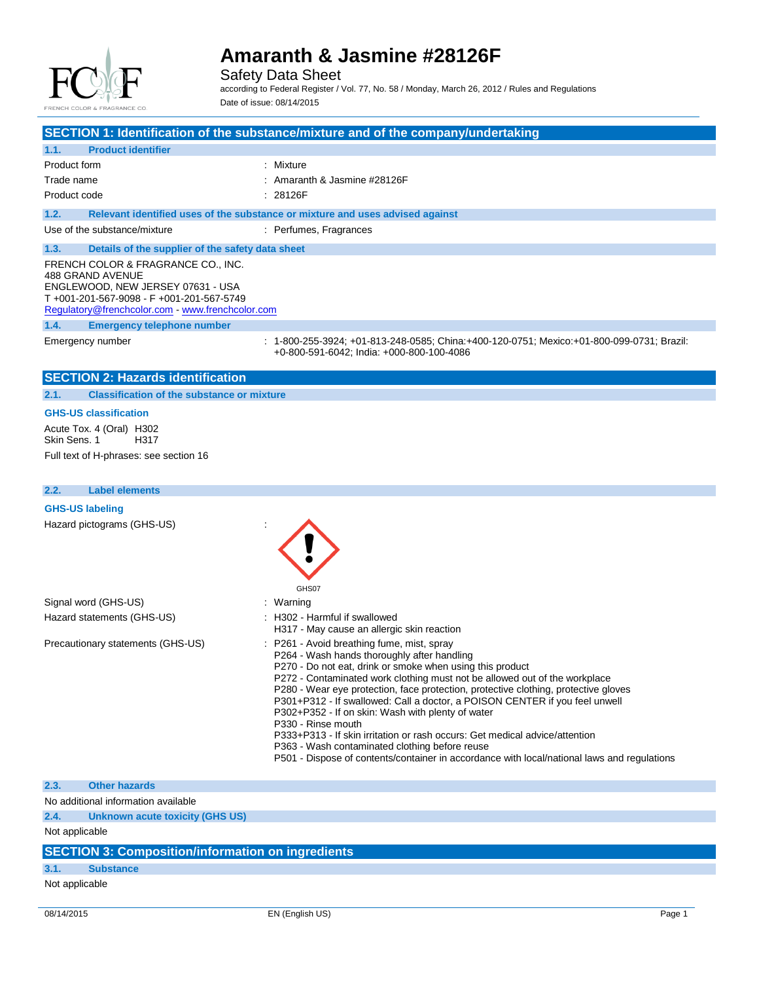

Safety Data Sheet

according to Federal Register / Vol. 77, No. 58 / Monday, March 26, 2012 / Rules and Regulations Date of issue: 08/14/2015

**SECTION 1: Identification of the substance/mixture and of the company/undertaking 1.1. Product identifier** Product form **: Mixture** Trade name  $\qquad \qquad$  Trade name  $\qquad$  Trade name  $\qquad$  28126F Product code : 28126F **1.2. Relevant identified uses of the substance or mixture and uses advised against** Use of the substance/mixture : Perfumes, Fragrances **1.3. Details of the supplier of the safety data sheet** FRENCH COLOR & FRAGRANCE CO., INC. 488 GRAND AVENUE ENGLEWOOD, NEW JERSEY 07631 - USA T +001-201-567-9098 - F +001-201-567-5749 Regulatory@frenchcolor.com - www.frenchcolor.com **1.4. Emergency telephone number** Emergency number : 1-800-255-3924; +01-813-248-0585; China:+400-120-0751; Mexico:+01-800-099-0731; Brazil: +0-800-591-6042; India: +000-800-100-4086 **SECTION 2: Hazards identification 2.1. Classification of the substance or mixture GHS-US classification** Acute Tox. 4 (Oral) H302 Skin Sens. 1 H317 Full text of H-phrases: see section 16 **2.2. Label elements GHS-US labeling** Hazard pictograms (GHS-US) : GHS<sub>07</sub> Signal word (GHS-US) : Warning Hazard statements (GHS-US) : H302 - Harmful if swallowed H317 - May cause an allergic skin reaction

- Precautionary statements (GHS-US) : P261 Avoid breathing fume, mist, spray
	- P264 Wash hands thoroughly after handling
	- P270 Do not eat, drink or smoke when using this product
	- P272 Contaminated work clothing must not be allowed out of the workplace
	- P280 Wear eye protection, face protection, protective clothing, protective gloves
	- P301+P312 If swallowed: Call a doctor, a POISON CENTER if you feel unwell
	- P302+P352 If on skin: Wash with plenty of water
	- P330 Rinse mouth
		- P333+P313 If skin irritation or rash occurs: Get medical advice/attention
		- P363 Wash contaminated clothing before reuse
		- P501 Dispose of contents/container in accordance with local/national laws and regulations

**2.3. Other hazards**

No additional information available

**2.4. Unknown acute toxicity (GHS US)**

Not applicable

### **SECTION 3: Composition/information on ingredients**

## **3.1. Substance**

Not applicable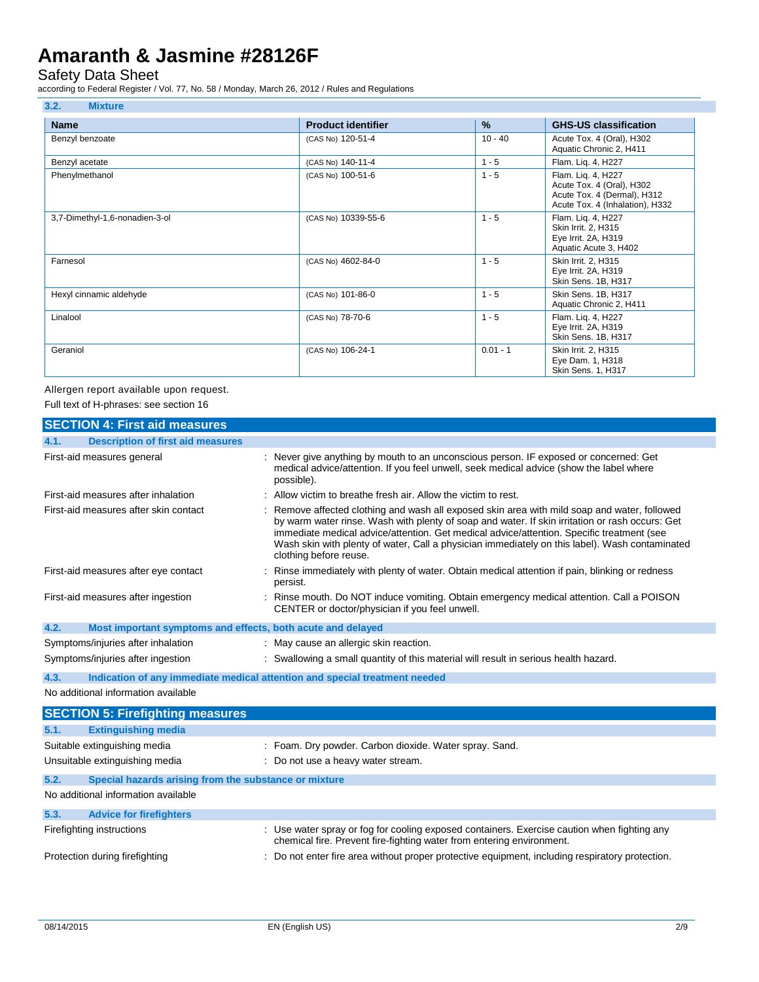### Safety Data Sheet

according to Federal Register / Vol. 77, No. 58 / Monday, March 26, 2012 / Rules and Regulations

| <b>Name</b>                    | <b>Product identifier</b> | $\frac{9}{6}$ | <b>GHS-US classification</b>                                                                                      |
|--------------------------------|---------------------------|---------------|-------------------------------------------------------------------------------------------------------------------|
| Benzyl benzoate                | (CAS No) 120-51-4         | $10 - 40$     | Acute Tox. 4 (Oral), H302<br>Aquatic Chronic 2, H411                                                              |
| Benzyl acetate                 | (CAS No) 140-11-4         | $1 - 5$       | Flam. Liq. 4, H227                                                                                                |
| Phenylmethanol                 | (CAS No) 100-51-6         | $1 - 5$       | Flam. Lig. 4, H227<br>Acute Tox. 4 (Oral), H302<br>Acute Tox. 4 (Dermal), H312<br>Acute Tox. 4 (Inhalation), H332 |
| 3,7-Dimethyl-1,6-nonadien-3-ol | (CAS No) 10339-55-6       | $1 - 5$       | Flam. Liq. 4, H227<br>Skin Irrit. 2, H315<br>Eye Irrit. 2A, H319<br>Aquatic Acute 3, H402                         |
| Farnesol                       | (CAS No) 4602-84-0        | $1 - 5$       | Skin Irrit. 2, H315<br>Eye Irrit. 2A, H319<br>Skin Sens. 1B, H317                                                 |
| Hexyl cinnamic aldehyde        | (CAS No) 101-86-0         | $1 - 5$       | Skin Sens. 1B, H317<br>Aquatic Chronic 2, H411                                                                    |
| Linalool                       | (CAS No) 78-70-6          | $1 - 5$       | Flam. Lig. 4, H227<br>Eye Irrit. 2A, H319<br>Skin Sens. 1B, H317                                                  |
| Geraniol                       | (CAS No) 106-24-1         | $0.01 - 1$    | Skin Irrit. 2, H315<br>Eye Dam. 1, H318<br>Skin Sens. 1, H317                                                     |

Allergen report available upon request. Full text of H-phrases: see section 16

| <b>SECTION 4: First aid measures</b>                                               |                                                                                                                                                                                                                                                                                                                                                                                                                          |
|------------------------------------------------------------------------------------|--------------------------------------------------------------------------------------------------------------------------------------------------------------------------------------------------------------------------------------------------------------------------------------------------------------------------------------------------------------------------------------------------------------------------|
| <b>Description of first aid measures</b><br>4.1.                                   |                                                                                                                                                                                                                                                                                                                                                                                                                          |
| First-aid measures general                                                         | : Never give anything by mouth to an unconscious person. IF exposed or concerned: Get<br>medical advice/attention. If you feel unwell, seek medical advice (show the label where<br>possible).                                                                                                                                                                                                                           |
| First-aid measures after inhalation                                                | : Allow victim to breathe fresh air. Allow the victim to rest.                                                                                                                                                                                                                                                                                                                                                           |
| First-aid measures after skin contact                                              | : Remove affected clothing and wash all exposed skin area with mild soap and water, followed<br>by warm water rinse. Wash with plenty of soap and water. If skin irritation or rash occurs: Get<br>immediate medical advice/attention. Get medical advice/attention. Specific treatment (see<br>Wash skin with plenty of water, Call a physician immediately on this label). Wash contaminated<br>clothing before reuse. |
| First-aid measures after eye contact                                               | Rinse immediately with plenty of water. Obtain medical attention if pain, blinking or redness<br>persist.                                                                                                                                                                                                                                                                                                                |
| First-aid measures after ingestion                                                 | : Rinse mouth. Do NOT induce vomiting. Obtain emergency medical attention. Call a POISON<br>CENTER or doctor/physician if you feel unwell.                                                                                                                                                                                                                                                                               |
| Most important symptoms and effects, both acute and delayed<br>4.2.                |                                                                                                                                                                                                                                                                                                                                                                                                                          |
| Symptoms/injuries after inhalation                                                 | : May cause an allergic skin reaction.                                                                                                                                                                                                                                                                                                                                                                                   |
| Symptoms/injuries after ingestion                                                  | : Swallowing a small quantity of this material will result in serious health hazard.                                                                                                                                                                                                                                                                                                                                     |
| Indication of any immediate medical attention and special treatment needed<br>4.3. |                                                                                                                                                                                                                                                                                                                                                                                                                          |
| No additional information available                                                |                                                                                                                                                                                                                                                                                                                                                                                                                          |
| <b>SECTION 5: Firefighting measures</b>                                            |                                                                                                                                                                                                                                                                                                                                                                                                                          |
| 5.1.<br><b>Extinguishing media</b>                                                 |                                                                                                                                                                                                                                                                                                                                                                                                                          |
| Suitable extinguishing media                                                       | : Foam. Dry powder. Carbon dioxide. Water spray. Sand.                                                                                                                                                                                                                                                                                                                                                                   |
| Unsuitable extinguishing media                                                     | : Do not use a heavy water stream.                                                                                                                                                                                                                                                                                                                                                                                       |
| 5.2.<br>Special hazards arising from the substance or mixture                      |                                                                                                                                                                                                                                                                                                                                                                                                                          |
| No additional information available                                                |                                                                                                                                                                                                                                                                                                                                                                                                                          |
| 5.3.<br><b>Advice for firefighters</b>                                             |                                                                                                                                                                                                                                                                                                                                                                                                                          |
| Firefighting instructions                                                          | : Use water spray or fog for cooling exposed containers. Exercise caution when fighting any<br>chemical fire. Prevent fire-fighting water from entering environment.                                                                                                                                                                                                                                                     |
| Protection during firefighting                                                     | : Do not enter fire area without proper protective equipment, including respiratory protection.                                                                                                                                                                                                                                                                                                                          |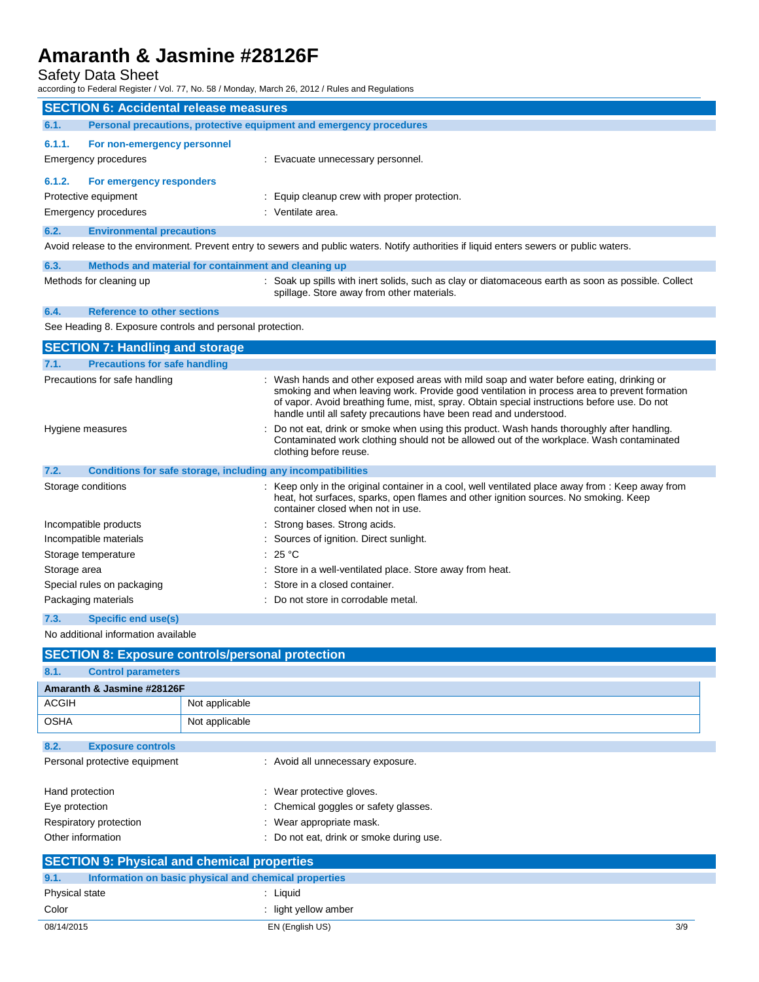### Safety Data Sheet

according to Federal Register / Vol. 77, No. 58 / Monday, March 26, 2012 / Rules and Regulations

|                                                                                                                                                                                                                                                      |                                                                                                                                           | according to Federal Register / Vol. 77, No. 58 / Monday, March 26, 2012 / Rules and Regulations                                                                                                                                                                                                                                                              |  |  |
|------------------------------------------------------------------------------------------------------------------------------------------------------------------------------------------------------------------------------------------------------|-------------------------------------------------------------------------------------------------------------------------------------------|---------------------------------------------------------------------------------------------------------------------------------------------------------------------------------------------------------------------------------------------------------------------------------------------------------------------------------------------------------------|--|--|
| <b>SECTION 6: Accidental release measures</b>                                                                                                                                                                                                        |                                                                                                                                           |                                                                                                                                                                                                                                                                                                                                                               |  |  |
| 6.1.<br>Personal precautions, protective equipment and emergency procedures                                                                                                                                                                          |                                                                                                                                           |                                                                                                                                                                                                                                                                                                                                                               |  |  |
| 6.1.1.<br>For non-emergency personnel                                                                                                                                                                                                                |                                                                                                                                           |                                                                                                                                                                                                                                                                                                                                                               |  |  |
| <b>Emergency procedures</b>                                                                                                                                                                                                                          |                                                                                                                                           | : Evacuate unnecessary personnel.                                                                                                                                                                                                                                                                                                                             |  |  |
| 6.1.2.<br>For emergency responders                                                                                                                                                                                                                   |                                                                                                                                           |                                                                                                                                                                                                                                                                                                                                                               |  |  |
| Protective equipment                                                                                                                                                                                                                                 |                                                                                                                                           | : Equip cleanup crew with proper protection.                                                                                                                                                                                                                                                                                                                  |  |  |
| Emergency procedures                                                                                                                                                                                                                                 |                                                                                                                                           | : Ventilate area.                                                                                                                                                                                                                                                                                                                                             |  |  |
| 6.2.<br><b>Environmental precautions</b>                                                                                                                                                                                                             |                                                                                                                                           |                                                                                                                                                                                                                                                                                                                                                               |  |  |
|                                                                                                                                                                                                                                                      | Avoid release to the environment. Prevent entry to sewers and public waters. Notify authorities if liquid enters sewers or public waters. |                                                                                                                                                                                                                                                                                                                                                               |  |  |
| 6.3.<br>Methods and material for containment and cleaning up                                                                                                                                                                                         |                                                                                                                                           |                                                                                                                                                                                                                                                                                                                                                               |  |  |
| Methods for cleaning up                                                                                                                                                                                                                              |                                                                                                                                           | : Soak up spills with inert solids, such as clay or diatomaceous earth as soon as possible. Collect<br>spillage. Store away from other materials.                                                                                                                                                                                                             |  |  |
| 6.4.<br><b>Reference to other sections</b>                                                                                                                                                                                                           |                                                                                                                                           |                                                                                                                                                                                                                                                                                                                                                               |  |  |
| See Heading 8. Exposure controls and personal protection.                                                                                                                                                                                            |                                                                                                                                           |                                                                                                                                                                                                                                                                                                                                                               |  |  |
| <b>SECTION 7: Handling and storage</b>                                                                                                                                                                                                               |                                                                                                                                           |                                                                                                                                                                                                                                                                                                                                                               |  |  |
| <b>Precautions for safe handling</b><br>7.1.                                                                                                                                                                                                         |                                                                                                                                           |                                                                                                                                                                                                                                                                                                                                                               |  |  |
| Precautions for safe handling                                                                                                                                                                                                                        |                                                                                                                                           | : Wash hands and other exposed areas with mild soap and water before eating, drinking or<br>smoking and when leaving work. Provide good ventilation in process area to prevent formation<br>of vapor. Avoid breathing fume, mist, spray. Obtain special instructions before use. Do not<br>handle until all safety precautions have been read and understood. |  |  |
| Hygiene measures                                                                                                                                                                                                                                     |                                                                                                                                           | : Do not eat, drink or smoke when using this product. Wash hands thoroughly after handling.<br>Contaminated work clothing should not be allowed out of the workplace. Wash contaminated<br>clothing before reuse.                                                                                                                                             |  |  |
| 7.2.                                                                                                                                                                                                                                                 |                                                                                                                                           | Conditions for safe storage, including any incompatibilities                                                                                                                                                                                                                                                                                                  |  |  |
| Storage conditions<br>: Keep only in the original container in a cool, well ventilated place away from : Keep away from<br>heat, hot surfaces, sparks, open flames and other ignition sources. No smoking. Keep<br>container closed when not in use. |                                                                                                                                           |                                                                                                                                                                                                                                                                                                                                                               |  |  |
| Incompatible products                                                                                                                                                                                                                                |                                                                                                                                           | : Strong bases. Strong acids.                                                                                                                                                                                                                                                                                                                                 |  |  |
| Incompatible materials                                                                                                                                                                                                                               |                                                                                                                                           | : Sources of ignition. Direct sunlight.                                                                                                                                                                                                                                                                                                                       |  |  |
| Storage temperature                                                                                                                                                                                                                                  |                                                                                                                                           | : 25 °C                                                                                                                                                                                                                                                                                                                                                       |  |  |
| Storage area                                                                                                                                                                                                                                         |                                                                                                                                           | : Store in a well-ventilated place. Store away from heat.                                                                                                                                                                                                                                                                                                     |  |  |
| Special rules on packaging                                                                                                                                                                                                                           |                                                                                                                                           | : Store in a closed container.                                                                                                                                                                                                                                                                                                                                |  |  |
| Packaging materials                                                                                                                                                                                                                                  |                                                                                                                                           | : Do not store in corrodable metal.                                                                                                                                                                                                                                                                                                                           |  |  |
| 7.3.<br><b>Specific end use(s)</b>                                                                                                                                                                                                                   |                                                                                                                                           |                                                                                                                                                                                                                                                                                                                                                               |  |  |
| No additional information available                                                                                                                                                                                                                  |                                                                                                                                           |                                                                                                                                                                                                                                                                                                                                                               |  |  |
| <b>SECTION 8: Exposure controls/personal protection</b>                                                                                                                                                                                              |                                                                                                                                           |                                                                                                                                                                                                                                                                                                                                                               |  |  |
| 8.1.<br><b>Control parameters</b>                                                                                                                                                                                                                    |                                                                                                                                           |                                                                                                                                                                                                                                                                                                                                                               |  |  |
| Amaranth & Jasmine #28126F                                                                                                                                                                                                                           |                                                                                                                                           |                                                                                                                                                                                                                                                                                                                                                               |  |  |
| <b>ACGIH</b>                                                                                                                                                                                                                                         | Not applicable                                                                                                                            |                                                                                                                                                                                                                                                                                                                                                               |  |  |
| <b>OSHA</b>                                                                                                                                                                                                                                          | Not applicable                                                                                                                            |                                                                                                                                                                                                                                                                                                                                                               |  |  |
| 8.2.<br><b>Exposure controls</b>                                                                                                                                                                                                                     |                                                                                                                                           |                                                                                                                                                                                                                                                                                                                                                               |  |  |
| Personal protective equipment                                                                                                                                                                                                                        |                                                                                                                                           | : Avoid all unnecessary exposure.                                                                                                                                                                                                                                                                                                                             |  |  |
| Hand protection                                                                                                                                                                                                                                      |                                                                                                                                           | : Wear protective gloves.                                                                                                                                                                                                                                                                                                                                     |  |  |
| Eye protection                                                                                                                                                                                                                                       |                                                                                                                                           | Chemical goggles or safety glasses.                                                                                                                                                                                                                                                                                                                           |  |  |
| Respiratory protection                                                                                                                                                                                                                               |                                                                                                                                           | : Wear appropriate mask.                                                                                                                                                                                                                                                                                                                                      |  |  |
| Other information                                                                                                                                                                                                                                    | : Do not eat, drink or smoke during use.                                                                                                  |                                                                                                                                                                                                                                                                                                                                                               |  |  |
| <b>SECTION 9: Physical and chemical properties</b>                                                                                                                                                                                                   |                                                                                                                                           |                                                                                                                                                                                                                                                                                                                                                               |  |  |

| 9.1.           | Information on basic physical and chemical properties |                    |     |
|----------------|-------------------------------------------------------|--------------------|-----|
| Physical state |                                                       | Liauid             |     |
| Color          |                                                       | light yellow amber |     |
| 08/14/2015     |                                                       | EN (English US)    | 3/9 |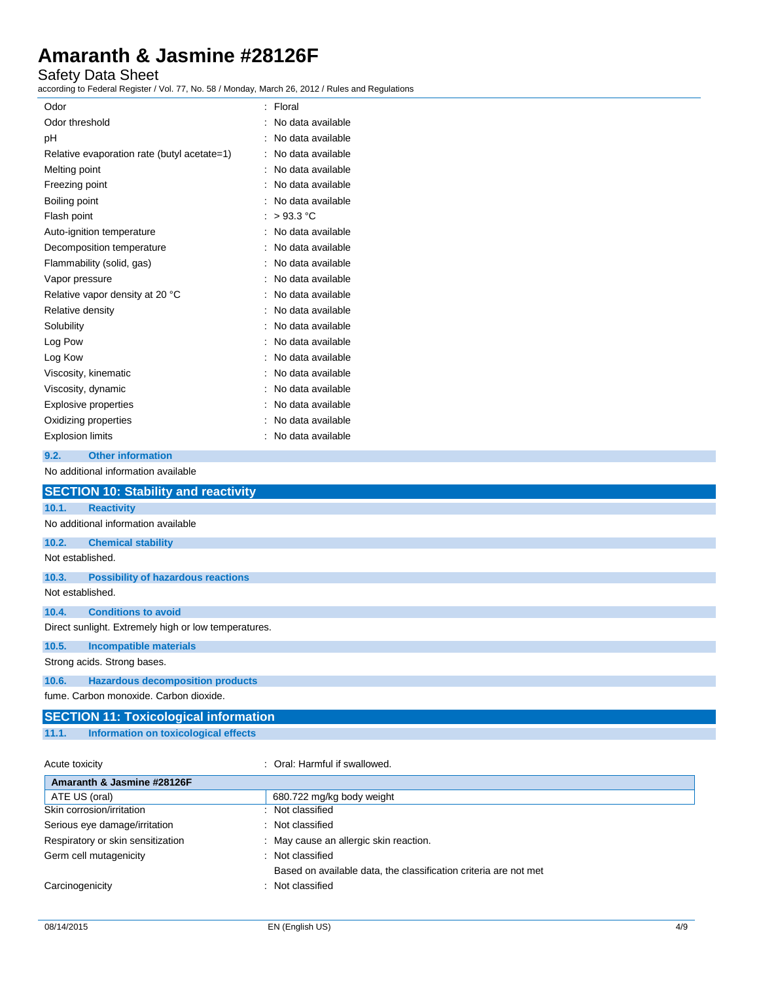### Safety Data Sheet

according to Federal Register / Vol. 77, No. 58 / Monday, March 26, 2012 / Rules and Regulations

| Odor                                        | Floral            |
|---------------------------------------------|-------------------|
| Odor threshold                              | No data available |
| рH                                          | No data available |
| Relative evaporation rate (butyl acetate=1) | No data available |
| Melting point                               | No data available |
| Freezing point                              | No data available |
| Boiling point                               | No data available |
| Flash point                                 | >93.3 °C          |
| Auto-ignition temperature                   | No data available |
| Decomposition temperature                   | No data available |
| Flammability (solid, gas)                   | No data available |
| Vapor pressure                              | No data available |
| Relative vapor density at 20 °C             | No data available |
| Relative density                            | No data available |
| Solubility                                  | No data available |
| Log Pow                                     | No data available |
| Log Kow                                     | No data available |
| Viscosity, kinematic                        | No data available |
| Viscosity, dynamic                          | No data available |
| Explosive properties                        | No data available |
| Oxidizing properties                        | No data available |
| <b>Explosion limits</b>                     | No data available |
|                                             |                   |

#### **9.2. Other information**

No additional information available

|                  | <b>SECTION 10: Stability and reactivity</b>          |
|------------------|------------------------------------------------------|
| 10.1.            | <b>Reactivity</b>                                    |
|                  | No additional information available                  |
| 10.2.            | <b>Chemical stability</b>                            |
| Not established. |                                                      |
| 10.3.            | <b>Possibility of hazardous reactions</b>            |
| Not established. |                                                      |
| 10.4.            | <b>Conditions to avoid</b>                           |
|                  | Direct sunlight. Extremely high or low temperatures. |
| 10.5.            | <b>Incompatible materials</b>                        |
|                  | Strong acids. Strong bases.                          |
| 10.6.            | <b>Hazardous decomposition products</b>              |
|                  | fume. Carbon monoxide. Carbon dioxide.               |

# **SECTION 11: Toxicological information**

**11.1. Information on toxicological effects**

Acute toxicity **in the case of the Caucasian Constanting Caucasian** Coral: Harmful if swallowed.

| Amaranth & Jasmine #28126F        |                                                                  |
|-----------------------------------|------------------------------------------------------------------|
| ATE US (oral)                     | 680.722 mg/kg body weight                                        |
| Skin corrosion/irritation         | Not classified                                                   |
| Serious eye damage/irritation     | : Not classified                                                 |
| Respiratory or skin sensitization | May cause an allergic skin reaction.                             |
| Germ cell mutagenicity            | : Not classified                                                 |
|                                   | Based on available data, the classification criteria are not met |
| Carcinogenicity                   | Not classified                                                   |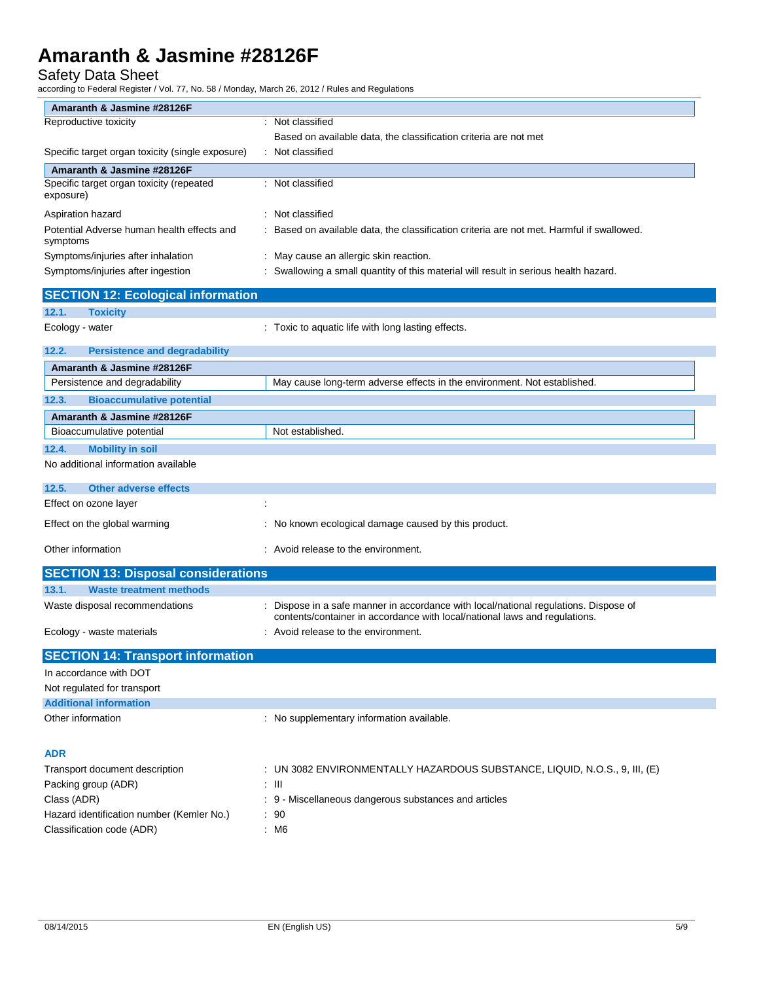## Safety Data Sheet

according to Federal Register / Vol. 77, No. 58 / Monday, March 26, 2012 / Rules and Regulations

| Amaranth & Jasmine #28126F                             |                                                                                                                                                                    |
|--------------------------------------------------------|--------------------------------------------------------------------------------------------------------------------------------------------------------------------|
| Reproductive toxicity                                  | : Not classified                                                                                                                                                   |
|                                                        | Based on available data, the classification criteria are not met                                                                                                   |
| Specific target organ toxicity (single exposure)       | : Not classified                                                                                                                                                   |
| Amaranth & Jasmine #28126F                             |                                                                                                                                                                    |
| Specific target organ toxicity (repeated<br>exposure)  | : Not classified                                                                                                                                                   |
| Aspiration hazard                                      | : Not classified                                                                                                                                                   |
| Potential Adverse human health effects and<br>symptoms | Based on available data, the classification criteria are not met. Harmful if swallowed.                                                                            |
| Symptoms/injuries after inhalation                     | : May cause an allergic skin reaction.                                                                                                                             |
| Symptoms/injuries after ingestion                      | : Swallowing a small quantity of this material will result in serious health hazard.                                                                               |
| <b>SECTION 12: Ecological information</b>              |                                                                                                                                                                    |
| 12.1.<br><b>Toxicity</b>                               |                                                                                                                                                                    |
| Ecology - water                                        | : Toxic to aquatic life with long lasting effects.                                                                                                                 |
| 12.2.<br><b>Persistence and degradability</b>          |                                                                                                                                                                    |
| Amaranth & Jasmine #28126F                             |                                                                                                                                                                    |
| Persistence and degradability                          | May cause long-term adverse effects in the environment. Not established.                                                                                           |
| 12.3.<br><b>Bioaccumulative potential</b>              |                                                                                                                                                                    |
| Amaranth & Jasmine #28126F                             |                                                                                                                                                                    |
| Bioaccumulative potential                              | Not established.                                                                                                                                                   |
| <b>Mobility in soil</b><br>12.4.                       |                                                                                                                                                                    |
| No additional information available                    |                                                                                                                                                                    |
| 12.5.<br><b>Other adverse effects</b>                  |                                                                                                                                                                    |
| Effect on ozone layer                                  |                                                                                                                                                                    |
| Effect on the global warming                           | : No known ecological damage caused by this product.                                                                                                               |
| Other information                                      | : Avoid release to the environment.                                                                                                                                |
| <b>SECTION 13: Disposal considerations</b>             |                                                                                                                                                                    |
| 13.1.<br><b>Waste treatment methods</b>                |                                                                                                                                                                    |
| Waste disposal recommendations                         | : Dispose in a safe manner in accordance with local/national regulations. Dispose of<br>contents/container in accordance with local/national laws and regulations. |
| Ecology - waste materials                              | Avoid release to the environment.                                                                                                                                  |
| <b>SECTION 14: Transport information</b>               |                                                                                                                                                                    |
| In accordance with DOT                                 |                                                                                                                                                                    |
| Not regulated for transport                            |                                                                                                                                                                    |
| <b>Additional information</b>                          |                                                                                                                                                                    |
| Other information                                      | : No supplementary information available.                                                                                                                          |
| <b>ADR</b>                                             |                                                                                                                                                                    |
| Transport document description                         | : UN 3082 ENVIRONMENTALLY HAZARDOUS SUBSTANCE, LIQUID, N.O.S., 9, III, (E)                                                                                         |
| Packing group (ADR)                                    | : III                                                                                                                                                              |
| Class (ADR)                                            | : 9 - Miscellaneous dangerous substances and articles                                                                                                              |
| Hazard identification number (Kemler No.)              | : 90                                                                                                                                                               |
| Classification code (ADR)                              | : M6                                                                                                                                                               |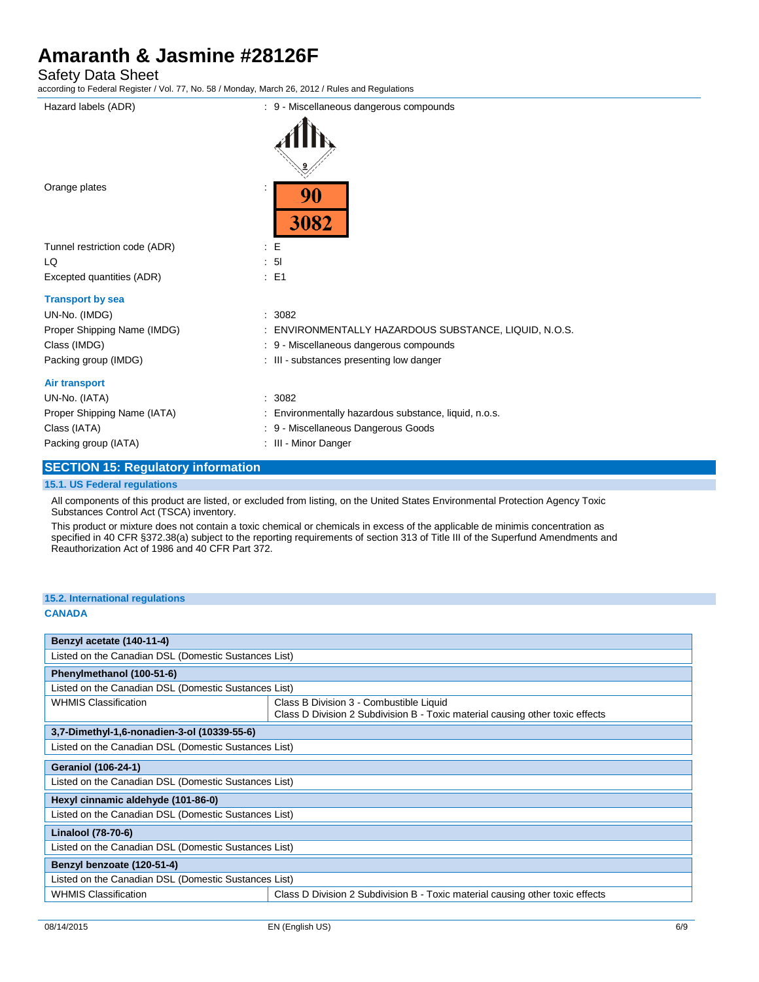Safety Data Sheet

according to Federal Register / Vol. 77, No. 58 / Monday, March 26, 2012 / Rules and Regulations

| Hazard labels (ADR)           | : 9 - Miscellaneous dangerous compounds               |
|-------------------------------|-------------------------------------------------------|
|                               |                                                       |
| Orange plates                 | 90<br>3082                                            |
| Tunnel restriction code (ADR) | $\therefore$ E                                        |
| LQ                            | : 51                                                  |
| Excepted quantities (ADR)     | $\therefore$ E1                                       |
| <b>Transport by sea</b>       |                                                       |
| UN-No. (IMDG)                 | : 3082                                                |
| Proper Shipping Name (IMDG)   | ENVIRONMENTALLY HAZARDOUS SUBSTANCE, LIQUID, N.O.S.   |
| Class (IMDG)                  | : 9 - Miscellaneous dangerous compounds               |
| Packing group (IMDG)          | : III - substances presenting low danger              |
| <b>Air transport</b>          |                                                       |
| UN-No. (IATA)                 | : 3082                                                |
| Proper Shipping Name (IATA)   | : Environmentally hazardous substance, liquid, n.o.s. |
| Class (IATA)                  | - Miscellaneous Dangerous Goods<br>: 9                |
| Packing group (IATA)          | : III - Minor Danger                                  |
|                               |                                                       |

### **SECTION 15: Regulatory information**

#### **15.1. US Federal regulations**

All components of this product are listed, or excluded from listing, on the United States Environmental Protection Agency Toxic Substances Control Act (TSCA) inventory.

This product or mixture does not contain a toxic chemical or chemicals in excess of the applicable de minimis concentration as specified in 40 CFR §372.38(a) subject to the reporting requirements of section 313 of Title III of the Superfund Amendments and Reauthorization Act of 1986 and 40 CFR Part 372.

#### **15.2. International regulations**

#### **CANADA**

| Benzyl acetate (140-11-4)                                                                                    |                                                                                                                          |  |
|--------------------------------------------------------------------------------------------------------------|--------------------------------------------------------------------------------------------------------------------------|--|
| Listed on the Canadian DSL (Domestic Sustances List)                                                         |                                                                                                                          |  |
| Phenylmethanol (100-51-6)                                                                                    |                                                                                                                          |  |
| Listed on the Canadian DSL (Domestic Sustances List)                                                         |                                                                                                                          |  |
| <b>WHMIS Classification</b>                                                                                  | Class B Division 3 - Combustible Liquid<br>Class D Division 2 Subdivision B - Toxic material causing other toxic effects |  |
| 3,7-Dimethyl-1,6-nonadien-3-ol (10339-55-6)                                                                  |                                                                                                                          |  |
| Listed on the Canadian DSL (Domestic Sustances List)                                                         |                                                                                                                          |  |
| <b>Geraniol (106-24-1)</b>                                                                                   |                                                                                                                          |  |
| Listed on the Canadian DSL (Domestic Sustances List)                                                         |                                                                                                                          |  |
| Hexyl cinnamic aldehyde (101-86-0)                                                                           |                                                                                                                          |  |
| Listed on the Canadian DSL (Domestic Sustances List)                                                         |                                                                                                                          |  |
| Linalool (78-70-6)                                                                                           |                                                                                                                          |  |
| Listed on the Canadian DSL (Domestic Sustances List)                                                         |                                                                                                                          |  |
| Benzyl benzoate (120-51-4)                                                                                   |                                                                                                                          |  |
| Listed on the Canadian DSL (Domestic Sustances List)                                                         |                                                                                                                          |  |
| <b>WHMIS Classification</b><br>Class D Division 2 Subdivision B - Toxic material causing other toxic effects |                                                                                                                          |  |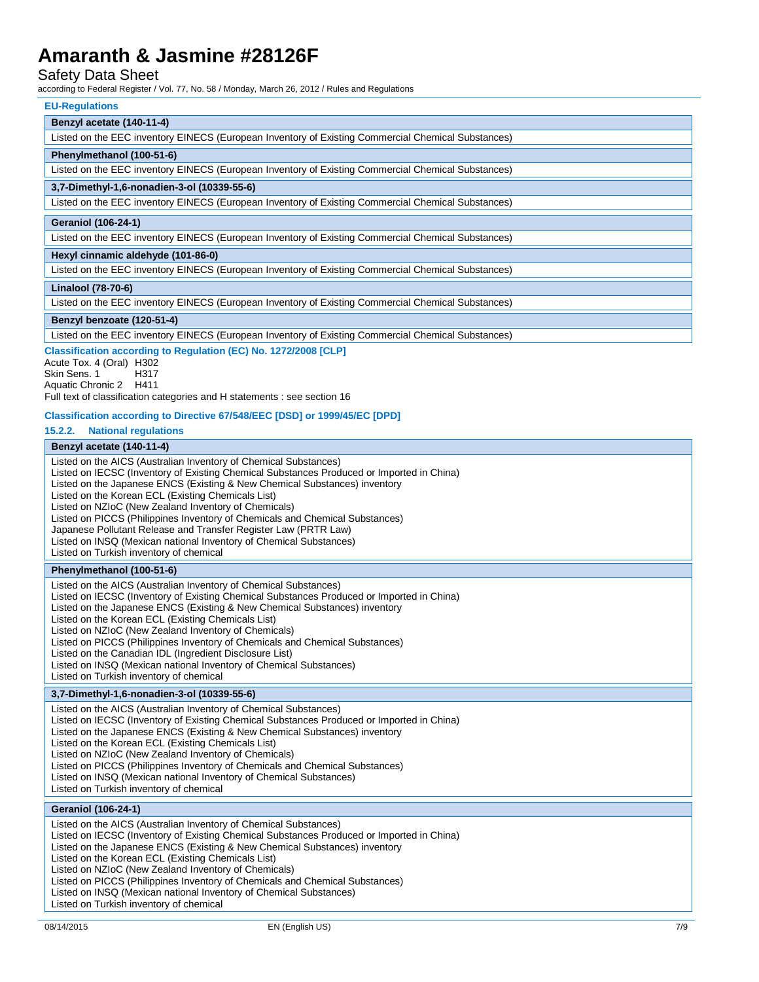#### Safety Data Sheet

according to Federal Register / Vol. 77, No. 58 / Monday, March 26, 2012 / Rules and Regulations

#### **EU-Regulations**

### **Benzyl acetate (140-11-4)**

| <b>PUILVIUVUUUV (170 1177)</b>                                                                     |
|----------------------------------------------------------------------------------------------------|
| Listed on the EEC inventory EINECS (European Inventory of Existing Commercial Chemical Substances) |
| Phenylmethanol (100-51-6)                                                                          |
| Listed on the EEC inventory EINECS (European Inventory of Existing Commercial Chemical Substances) |
| 3,7-Dimethyl-1,6-nonadien-3-ol (10339-55-6)                                                        |
| Listed on the EEC inventory EINECS (European Inventory of Existing Commercial Chemical Substances) |
| <b>Geraniol (106-24-1)</b>                                                                         |
| Listed on the EEC inventory EINECS (European Inventory of Existing Commercial Chemical Substances) |
| Hexyl cinnamic aldehyde (101-86-0)                                                                 |
| Listed on the EEC inventory EINECS (European Inventory of Existing Commercial Chemical Substances) |
| Linalool (78-70-6)                                                                                 |
| Listed on the EEC inventory EINECS (European Inventory of Existing Commercial Chemical Substances) |
| Benzyl benzoate (120-51-4)                                                                         |
| Listed on the EEC inventory EINECS (European Inventory of Existing Commercial Chemical Substances) |

**Classification according to Regulation (EC) No. 1272/2008 [CLP]**

Acute Tox. 4 (Oral) H302<br>Skin Sens. 1 H317 Skin Sens. 1 Aquatic Chronic 2 H411 Full text of classification categories and H statements : see section 16

#### **Classification according to Directive 67/548/EEC [DSD] or 1999/45/EC [DPD]**

**15.2.2. National regulations**

### **Benzyl acetate (140-11-4)**

| Listed on the AICS (Australian Inventory of Chemical Substances)<br>Listed on IECSC (Inventory of Existing Chemical Substances Produced or Imported in China)<br>Listed on the Japanese ENCS (Existing & New Chemical Substances) inventory<br>Listed on the Korean ECL (Existing Chemicals List)<br>Listed on NZIoC (New Zealand Inventory of Chemicals)<br>Listed on PICCS (Philippines Inventory of Chemicals and Chemical Substances)<br>Japanese Pollutant Release and Transfer Register Law (PRTR Law)<br>Listed on INSQ (Mexican national Inventory of Chemical Substances)<br>Listed on Turkish inventory of chemical |
|-------------------------------------------------------------------------------------------------------------------------------------------------------------------------------------------------------------------------------------------------------------------------------------------------------------------------------------------------------------------------------------------------------------------------------------------------------------------------------------------------------------------------------------------------------------------------------------------------------------------------------|
| Phenylmethanol (100-51-6)                                                                                                                                                                                                                                                                                                                                                                                                                                                                                                                                                                                                     |
| Listed on the AICS (Australian Inventory of Chemical Substances)<br>Listed on IECSC (Inventory of Existing Chemical Substances Produced or Imported in China)<br>Listed on the Japanese ENCS (Existing & New Chemical Substances) inventory<br>Listed on the Korean ECL (Existing Chemicals List)<br>Listed on NZIoC (New Zealand Inventory of Chemicals)<br>Listed on PICCS (Philippines Inventory of Chemicals and Chemical Substances)<br>Listed on the Canadian IDL (Ingredient Disclosure List)<br>Listed on INSQ (Mexican national Inventory of Chemical Substances)<br>Listed on Turkish inventory of chemical         |
| 3,7-Dimethyl-1,6-nonadien-3-ol (10339-55-6)                                                                                                                                                                                                                                                                                                                                                                                                                                                                                                                                                                                   |
| Listed on the AICS (Australian Inventory of Chemical Substances)<br>Listed on IECSC (Inventory of Existing Chemical Substances Produced or Imported in China)<br>Listed on the Japanese ENCS (Existing & New Chemical Substances) inventory<br>Listed on the Korean ECL (Existing Chemicals List)<br>Listed on NZIoC (New Zealand Inventory of Chemicals)<br>Listed on PICCS (Philippines Inventory of Chemicals and Chemical Substances)<br>Listed on INSQ (Mexican national Inventory of Chemical Substances)<br>Listed on Turkish inventory of chemical                                                                    |
| <b>Geraniol (106-24-1)</b>                                                                                                                                                                                                                                                                                                                                                                                                                                                                                                                                                                                                    |
| Listed on the AICS (Australian Inventory of Chemical Substances)                                                                                                                                                                                                                                                                                                                                                                                                                                                                                                                                                              |

Listed on IECSC (Inventory of Existing Chemical Substances Produced or Imported in China)

Listed on the Japanese ENCS (Existing & New Chemical Substances) inventory

Listed on the Korean ECL (Existing Chemicals List)

Listed on NZIoC (New Zealand Inventory of Chemicals)

Listed on PICCS (Philippines Inventory of Chemicals and Chemical Substances)

Listed on INSQ (Mexican national Inventory of Chemical Substances)

Listed on Turkish inventory of chemical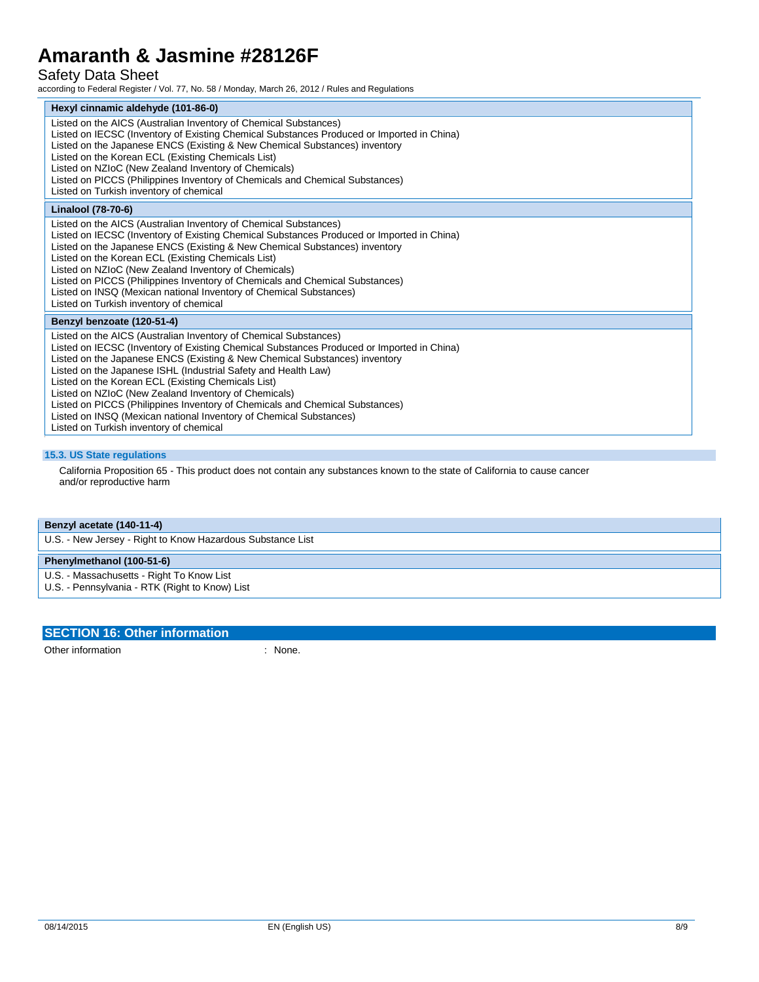# Safety Data Sheet

according to Federal Register / Vol. 77, No. 58 / Monday, March 26, 2012 / Rules and Regulations

| Hexyl cinnamic aldehyde (101-86-0)                                                                                                                                                                                                                                                                                                                                                                                                                                                                                                                                                                                           |
|------------------------------------------------------------------------------------------------------------------------------------------------------------------------------------------------------------------------------------------------------------------------------------------------------------------------------------------------------------------------------------------------------------------------------------------------------------------------------------------------------------------------------------------------------------------------------------------------------------------------------|
| Listed on the AICS (Australian Inventory of Chemical Substances)<br>Listed on IECSC (Inventory of Existing Chemical Substances Produced or Imported in China)<br>Listed on the Japanese ENCS (Existing & New Chemical Substances) inventory<br>Listed on the Korean ECL (Existing Chemicals List)<br>Listed on NZIoC (New Zealand Inventory of Chemicals)<br>Listed on PICCS (Philippines Inventory of Chemicals and Chemical Substances)<br>Listed on Turkish inventory of chemical                                                                                                                                         |
| Linalool (78-70-6)                                                                                                                                                                                                                                                                                                                                                                                                                                                                                                                                                                                                           |
| Listed on the AICS (Australian Inventory of Chemical Substances)<br>Listed on IECSC (Inventory of Existing Chemical Substances Produced or Imported in China)<br>Listed on the Japanese ENCS (Existing & New Chemical Substances) inventory<br>Listed on the Korean ECL (Existing Chemicals List)<br>Listed on NZIoC (New Zealand Inventory of Chemicals)<br>Listed on PICCS (Philippines Inventory of Chemicals and Chemical Substances)<br>Listed on INSQ (Mexican national Inventory of Chemical Substances)<br>Listed on Turkish inventory of chemical                                                                   |
| Benzyl benzoate (120-51-4)                                                                                                                                                                                                                                                                                                                                                                                                                                                                                                                                                                                                   |
| Listed on the AICS (Australian Inventory of Chemical Substances)<br>Listed on IECSC (Inventory of Existing Chemical Substances Produced or Imported in China)<br>Listed on the Japanese ENCS (Existing & New Chemical Substances) inventory<br>Listed on the Japanese ISHL (Industrial Safety and Health Law)<br>Listed on the Korean ECL (Existing Chemicals List)<br>Listed on NZIoC (New Zealand Inventory of Chemicals)<br>Listed on PICCS (Philippines Inventory of Chemicals and Chemical Substances)<br>Listed on INSQ (Mexican national Inventory of Chemical Substances)<br>Listed on Turkish inventory of chemical |

#### **15.3. US State regulations**

California Proposition 65 - This product does not contain any substances known to the state of California to cause cancer and/or reproductive harm

**Benzyl acetate (140-11-4)**

U.S. - New Jersey - Right to Know Hazardous Substance List

### **Phenylmethanol (100-51-6)**

U.S. - Massachusetts - Right To Know List

U.S. - Pennsylvania - RTK (Right to Know) List

#### **SECTION 16: Other information**

Other information : None.